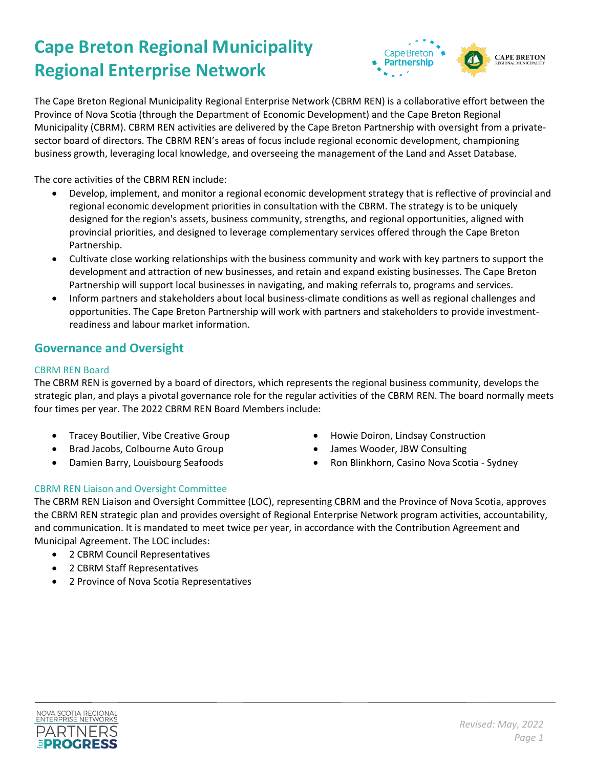# **Cape Breton Regional Municipality Regional Enterprise Network**



The Cape Breton Regional Municipality Regional Enterprise Network (CBRM REN) is a collaborative effort between the Province of Nova Scotia (through the Department of Economic Development) and the Cape Breton Regional Municipality (CBRM). CBRM REN activities are delivered by the Cape Breton Partnership with oversight from a privatesector board of directors. The CBRM REN's areas of focus include regional economic development, championing business growth, leveraging local knowledge, and overseeing the management of the Land and Asset Database.

The core activities of the CBRM REN include:

- Develop, implement, and monitor a regional economic development strategy that is reflective of provincial and regional economic development priorities in consultation with the CBRM. The strategy is to be uniquely designed for the region's assets, business community, strengths, and regional opportunities, aligned with provincial priorities, and designed to leverage complementary services offered through the Cape Breton Partnership.
- Cultivate close working relationships with the business community and work with key partners to support the development and attraction of new businesses, and retain and expand existing businesses. The Cape Breton Partnership will support local businesses in navigating, and making referrals to, programs and services.
- Inform partners and stakeholders about local business-climate conditions as well as regional challenges and opportunities. The Cape Breton Partnership will work with partners and stakeholders to provide investmentreadiness and labour market information.

## **Governance and Oversight**

### CBRM REN Board

The CBRM REN is governed by a board of directors, which represents the regional business community, develops the strategic plan, and plays a pivotal governance role for the regular activities of the CBRM REN. The board normally meets four times per year. The 2022 CBRM REN Board Members include:

- Tracey Boutilier, Vibe Creative Group
- Brad Jacobs, Colbourne Auto Group
- Damien Barry, Louisbourg Seafoods
- Howie Doiron, Lindsay Construction
- James Wooder, JBW Consulting
- Ron Blinkhorn, Casino Nova Scotia Sydney

## CBRM REN Liaison and Oversight Committee

The CBRM REN Liaison and Oversight Committee (LOC), representing CBRM and the Province of Nova Scotia, approves the CBRM REN strategic plan and provides oversight of Regional Enterprise Network program activities, accountability, and communication. It is mandated to meet twice per year, in accordance with the Contribution Agreement and Municipal Agreement. The LOC includes:

- 2 CBRM Council Representatives
- 2 CBRM Staff Representatives
- 2 Province of Nova Scotia Representatives